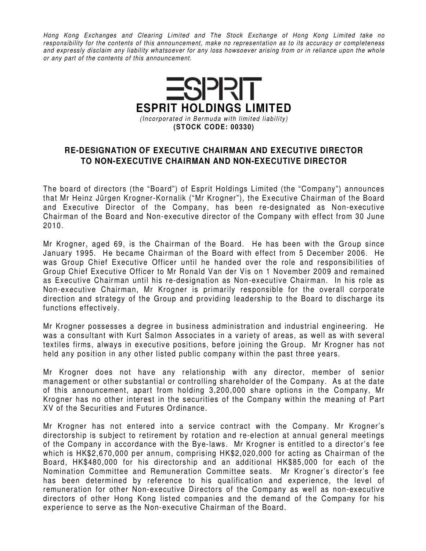Hong Kong Exchanges and Clearing Limited and The Stock Exchange of Hong Kong Limited take no responsibility for the contents of this announcement, make no representation as to its accuracy or completeness and expressly disclaim any liability whatsoever for any loss howsoever arising from or in reliance upon the whole or any part of the contents of this announcement.



## **RE-DESIGNATION OF EXECUTIVE CHAIRMAN AND EXECUTIVE DIRECTOR TO NON-EXECUTIVE CHAIRMAN AND NON-EXECUTIVE DIRECTOR**

The board of directors (the "Board") of Esprit Holdings Limited (the "Company") announces that Mr Heinz Jürgen Krogner-Kornalik ("Mr Krogner"), the Executive Chairman of the Board and Executive Director of the Company, has been re-designated as Non-executive Chairman of the Board and Non-executive director of the Company with effect from 30 June 2010.

Mr Krogner, aged 69, is the Chairman of the Board. He has been with the Group since January 1995. He became Chairman of the Board with effect from 5 December 2006. He was Group Chief Executive Officer until he handed over the role and responsibilities of Group Chief Executive Officer to Mr Ronald Van der Vis on 1 November 2009 and remained as Executive Chairman until his re-designation as Non-executive Chairman. In his role as Non-executive Chairman, Mr Krogner is primarily responsible for the overall corporate direction and strategy of the Group and providing leadership to the Board to discharge its functions effectively.

Mr Krogner possesses a degree in business administration and industrial engineering. He was a consultant with Kurt Salmon Associates in a variety of areas, as well as with several textiles firms, always in executive positions, before joining the Group. Mr Krogner has not held any position in any other listed public company within the past three years.

Mr Krogner does not have any relationship with any director, member of senior management or other substantial or controlling shareholder of the Company. As at the date of this announcement, apart from holding 3,200,000 share options in the Company, Mr Krogner has no other interest in the securities of the Company within the meaning of Part XV of the Securities and Futures Ordinance.

Mr Krogner has not entered into a service contract with the Company. Mr Krogner's directorship is subject to retirement by rotation and re-election at annual general meetings of the Company in accordance with the Bye-laws. Mr Krogner is entitled to a director's fee which is HK\$2,670,000 per annum, comprising HK\$2,020,000 for acting as Chairman of the Board, HK\$480,000 for his directorship and an additional HK\$85,000 for each of the Nomination Committee and Remuneration Committee seats. Mr Krogner's director's fee has been determined by reference to his qualification and experience, the level of remuneration for other Non-executive Directors of the Company as well as non-executive directors of other Hong Kong listed companies and the demand of the Company for his experience to serve as the Non-executive Chairman of the Board.